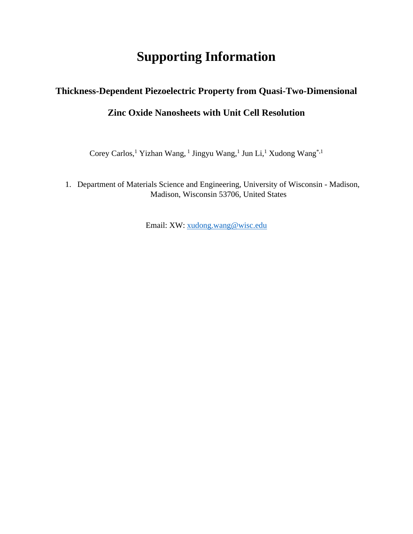## **Supporting Information**

## **Thickness-Dependent Piezoelectric Property from Quasi-Two-Dimensional**

## **Zinc Oxide Nanosheets with Unit Cell Resolution**

Corey Carlos,<sup>1</sup> Yizhan Wang,<sup>1</sup> Jingyu Wang,<sup>1</sup> Jun Li,<sup>1</sup> Xudong Wang<sup>\*,1</sup>

1. Department of Materials Science and Engineering, University of Wisconsin - Madison, Madison, Wisconsin 53706, United States

Email: XW: [xudong.wang@wisc.edu](mailto:xudong.wang@wisc.edu)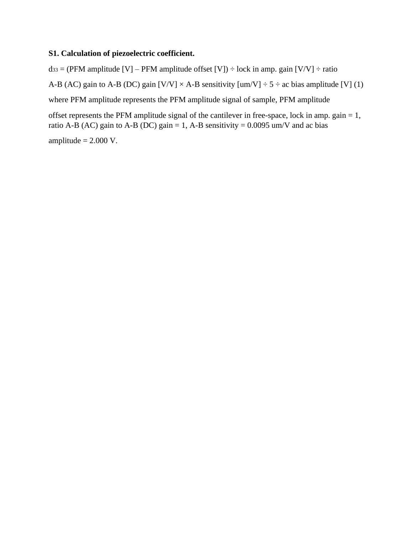## **S1. Calculation of piezoelectric coefficient.**

 $ds_3 = (PFM$  amplitude [V] – PFM amplitude offset [V])  $\div$  lock in amp. gain [V/V]  $\div$  ratio A-B (AC) gain to A-B (DC) gain  $[V/V] \times A-B$  sensitivity  $[um/V] \div 5 \div ac$  bias amplitude [V] (1) where PFM amplitude represents the PFM amplitude signal of sample, PFM amplitude offset represents the PFM amplitude signal of the cantilever in free-space, lock in amp. gain  $= 1$ ,

ratio A-B (AC) gain to A-B (DC) gain = 1, A-B sensitivity =  $0.0095$  um/V and ac bias

amplitude  $= 2.000$  V.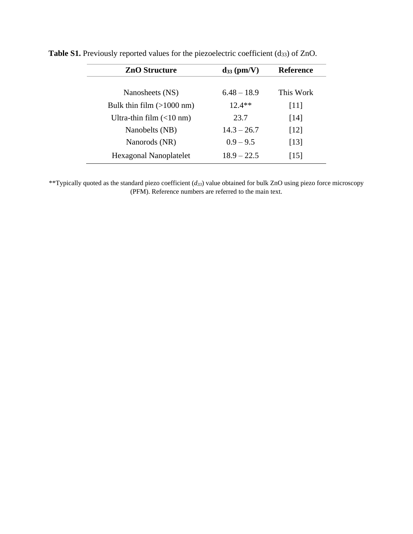| <b>ZnO</b> Structure          | $d_{33}$ (pm/V) | Reference          |
|-------------------------------|-----------------|--------------------|
|                               |                 |                    |
| Nanosheets (NS)               | $6.48 - 18.9$   | This Work          |
| Bulk thin film $(>1000$ nm)   | $12.4**$        | $[11]$             |
| Ultra-thin film $(<10$ nm)    | 23.7            | $[14]$             |
| Nanobelts (NB)                | $14.3 - 26.7$   | $\lceil 12 \rceil$ |
| Nanorods (NR)                 | $0.9 - 9.5$     | [13]               |
| <b>Hexagonal Nanoplatelet</b> | $18.9 - 22.5$   | [15]               |

Table S1. Previously reported values for the piezoelectric coefficient (d<sub>33</sub>) of ZnO.

\*\*Typically quoted as the standard piezo coefficient (*d33*) value obtained for bulk ZnO using piezo force microscopy (PFM). Reference numbers are referred to the main text.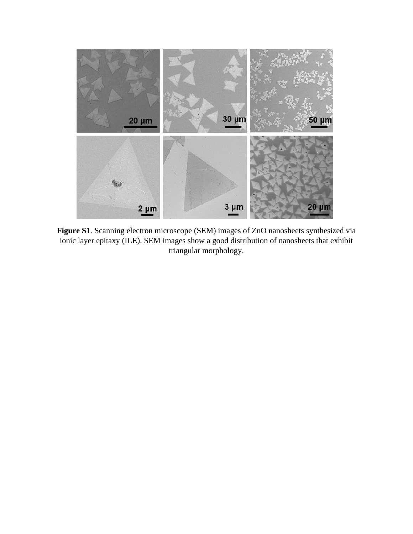

**Figure S1**. Scanning electron microscope (SEM) images of ZnO nanosheets synthesized via ionic layer epitaxy (ILE). SEM images show a good distribution of nanosheets that exhibit triangular morphology.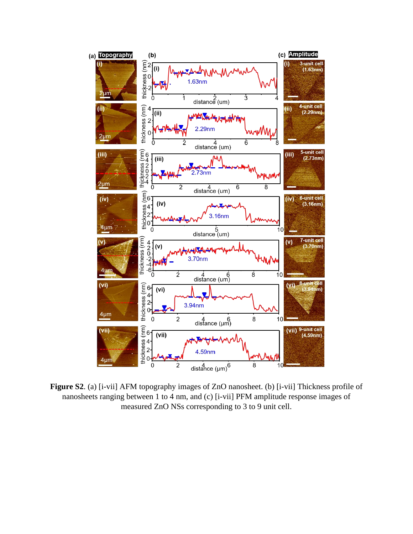

**Figure S2**. (a) [i-vii] AFM topography images of ZnO nanosheet. (b) [i-vii] Thickness profile of nanosheets ranging between 1 to 4 nm, and (c) [i-vii] PFM amplitude response images of measured ZnO NSs corresponding to 3 to 9 unit cell.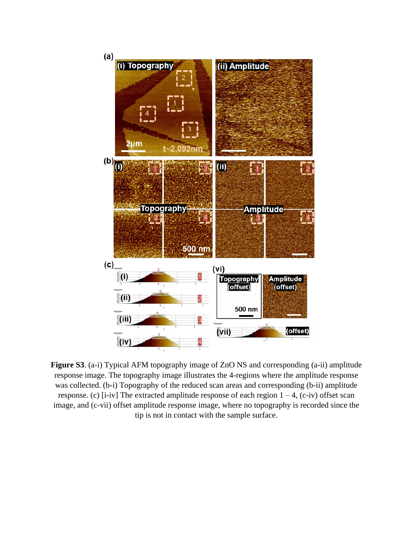

**Figure S3**. (a-i) Typical AFM topography image of ZnO NS and corresponding (a-ii) amplitude response image. The topography image illustrates the 4-regions where the amplitude response was collected. (b-i) Topography of the reduced scan areas and corresponding (b-ii) amplitude response. (c) [i-iv] The extracted amplitude response of each region  $1 - 4$ , (c-iv) offset scan image, and (c-vii) offset amplitude response image, where no topography is recorded since the tip is not in contact with the sample surface.